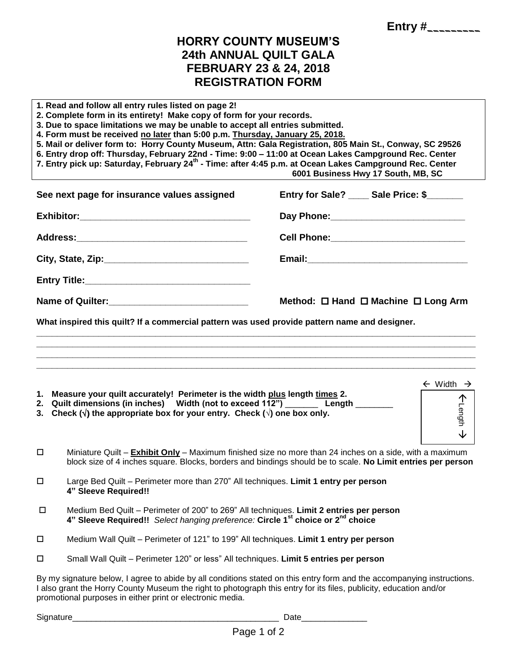**Entry #***\_\_\_\_\_\_\_\_\_* 

## **HORRY COUNTY MUSEUM'S 24th ANNUAL QUILT GALA FEBRUARY 23 & 24, 2018 REGISTRATION FORM**

| 1. Read and follow all entry rules listed on page 2!<br>2. Complete form in its entirety! Make copy of form for your records.<br>3. Due to space limitations we may be unable to accept all entries submitted.<br>4. Form must be received no later than 5:00 p.m. Thursday, January 25, 2018.<br>5. Mail or deliver form to: Horry County Museum, Attn: Gala Registration, 805 Main St., Conway, SC 29526<br>6. Entry drop off: Thursday, February 22nd - Time: 9:00 - 11:00 at Ocean Lakes Campground Rec. Center<br>7. Entry pick up: Saturday, February 24 <sup>th</sup> - Time: after 4:45 p.m. at Ocean Lakes Campground Rec. Center<br>6001 Business Hwy 17 South, MB, SC |                                                                                                                                                                                                                        |                                                    |
|----------------------------------------------------------------------------------------------------------------------------------------------------------------------------------------------------------------------------------------------------------------------------------------------------------------------------------------------------------------------------------------------------------------------------------------------------------------------------------------------------------------------------------------------------------------------------------------------------------------------------------------------------------------------------------|------------------------------------------------------------------------------------------------------------------------------------------------------------------------------------------------------------------------|----------------------------------------------------|
|                                                                                                                                                                                                                                                                                                                                                                                                                                                                                                                                                                                                                                                                                  | See next page for insurance values assigned                                                                                                                                                                            | Entry for Sale? ____ Sale Price: \$______          |
|                                                                                                                                                                                                                                                                                                                                                                                                                                                                                                                                                                                                                                                                                  |                                                                                                                                                                                                                        |                                                    |
|                                                                                                                                                                                                                                                                                                                                                                                                                                                                                                                                                                                                                                                                                  |                                                                                                                                                                                                                        |                                                    |
|                                                                                                                                                                                                                                                                                                                                                                                                                                                                                                                                                                                                                                                                                  |                                                                                                                                                                                                                        |                                                    |
|                                                                                                                                                                                                                                                                                                                                                                                                                                                                                                                                                                                                                                                                                  |                                                                                                                                                                                                                        |                                                    |
|                                                                                                                                                                                                                                                                                                                                                                                                                                                                                                                                                                                                                                                                                  |                                                                                                                                                                                                                        | Method: $\Box$ Hand $\Box$ Machine $\Box$ Long Arm |
| What inspired this quilt? If a commercial pattern was used provide pattern name and designer.                                                                                                                                                                                                                                                                                                                                                                                                                                                                                                                                                                                    |                                                                                                                                                                                                                        |                                                    |
|                                                                                                                                                                                                                                                                                                                                                                                                                                                                                                                                                                                                                                                                                  |                                                                                                                                                                                                                        |                                                    |
|                                                                                                                                                                                                                                                                                                                                                                                                                                                                                                                                                                                                                                                                                  |                                                                                                                                                                                                                        |                                                    |
| $\leftarrow$ Width $\rightarrow$<br>1. Measure your quilt accurately! Perimeter is the width plus length times 2.<br><b>个</b><br>Prength<br>2. Quilt dimensions (in inches) Width (not to exceed 112") ________ Length ______<br>3. Check ( $\sqrt{ }$ ) the appropriate box for your entry. Check ( $\sqrt{ }$ ) one box only.<br>↓                                                                                                                                                                                                                                                                                                                                             |                                                                                                                                                                                                                        |                                                    |
| □                                                                                                                                                                                                                                                                                                                                                                                                                                                                                                                                                                                                                                                                                | Miniature Quilt - Exhibit Only - Maximum finished size no more than 24 inches on a side, with a maximum<br>block size of 4 inches square. Blocks, borders and bindings should be to scale. No Limit entries per person |                                                    |
| $\Box$                                                                                                                                                                                                                                                                                                                                                                                                                                                                                                                                                                                                                                                                           | Large Bed Quilt - Perimeter more than 270" All techniques. Limit 1 entry per person<br>4" Sleeve Required!!                                                                                                            |                                                    |
| $\Box$                                                                                                                                                                                                                                                                                                                                                                                                                                                                                                                                                                                                                                                                           | Medium Bed Quilt - Perimeter of 200" to 269" All techniques. Limit 2 entries per person<br>4" Sleeve Required!! Select hanging preference: Circle 1 <sup>st</sup> choice or 2 <sup>nd</sup> choice                     |                                                    |
| $\Box$                                                                                                                                                                                                                                                                                                                                                                                                                                                                                                                                                                                                                                                                           | Medium Wall Quilt - Perimeter of 121" to 199" All techniques. Limit 1 entry per person                                                                                                                                 |                                                    |
| $\Box$                                                                                                                                                                                                                                                                                                                                                                                                                                                                                                                                                                                                                                                                           | Small Wall Quilt - Perimeter 120" or less" All techniques. Limit 5 entries per person                                                                                                                                  |                                                    |
| By my signature below, I agree to abide by all conditions stated on this entry form and the accompanying instructions.<br>I also grant the Horry County Museum the right to photograph this entry for its files, publicity, education and/or<br>promotional purposes in either print or electronic media.                                                                                                                                                                                                                                                                                                                                                                        |                                                                                                                                                                                                                        |                                                    |

Signature\_\_\_\_\_\_\_\_\_\_\_\_\_\_\_\_\_\_\_\_\_\_\_\_\_\_\_\_\_\_\_\_\_\_\_\_\_\_\_\_\_\_\_\_ Date\_\_\_\_\_\_\_\_\_\_\_\_\_\_